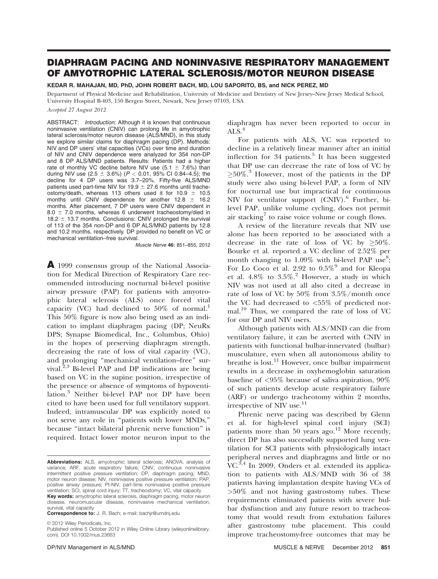# DIAPHRAGM PACING AND NONINVASIVE RESPIRATORY MANAGEMENT OF AMYOTROPHIC LATERAL SCLEROSIS/MOTOR NEURON DISEASE

## KEDAR R. MAHAJAN, MD, PhD, JOHN ROBERT BACH, MD, LOU SAPORITO, BS, and NICK PEREZ, MD

Department of Physical Medicine and Rehabilitation, University of Medicine and Dentistry of New Jersey–New Jersey Medical School, University Hospital B-403, 150 Bergen Street, Newark, New Jersey 07103, USA

#### Accepted 27 August 2012

ABSTRACT: Introduction: Although it is known that continuous noninvasive ventilation (CNIV) can prolong life in amyotrophic lateral sclerosis/motor neuron disease (ALS/MND), in this study we explore similar claims for diaphragm pacing (DP). Methods: NIV and DP users' vital capacities (VCs) over time and duration of NIV and CNIV dependence were analyzed for 354 non-DP and 8 DP ALS/MND patients. Results: Patients had a higher rate of monthly VC decline before NIV use  $(5.1 \pm 7.6\%)$  than during NIV use (2.5  $\pm$  3.6%) ( $P$   $<$  0.01, 95% CI 0.84–4.5); the decline for 4 DP users was 3.7–20%. Fifty-five ALS/MND patients used part-time NIV for 19.9  $\pm$  27.6 months until tracheostomy/death, whereas 113 others used it for 10.9  $\pm$  10.5 months until CNIV dependence for another 12.8  $\pm$  16.2 months. After placement, 7 DP users were CNIV dependent in  $8.0 \pm 7.0$  months, whereas 6 underwent tracheostomy/died in 18.2  $\pm$  13.7 months. Conclusions: CNIV prolonged the survival of 113 of the 354 non-DP and 6 DP ALS/MND patients by 12.8 and 10.2 months, respectively. DP provided no benefit on VC or mechanical ventilation–free survival.

Muscle Nerve 46: 851–855, 2012

A 1999 consensus group of the National Association for Medical Direction of Respiratory Care recommended introducing nocturnal bi-level positive airway pressure (PAP) for patients with amyotrophic lateral sclerosis (ALS) once forced vital capacity (VC) had declined to  $50\%$  of normal.<sup>1</sup> This 50% figure is now also being used as an indication to implant diaphragm pacing (DP; NeuRx DPS; Synapse Biomedical, Inc., Columbus, Ohio) in the hopes of preserving diaphragm strength, decreasing the rate of loss of vital capacity (VC), and prolonging ''mechanical ventilation–free'' survival. $^{2,3}$  Bi-level PAP and DP indications are being based on VC in the supine position, irrespective of the presence or absence of symptoms of hypoventilation.<sup>3</sup> Neither bi-level PAP nor DP have been cited to have been used for full ventilatory support. Indeed, intramuscular DP was explicitly noted to not serve any role in ''patients with lower MNDs,'' because ''intact bilateral phrenic nerve function'' is required. Intact lower motor neuron input to the

Correspondence to: J. R. Bach; e-mail: bachjr@umdnj.edu survival, vital capacity

 $©$  2012 Wiley Periodicals, Inc.

diaphragm has never been reported to occur in ALS. $4$ 

For patients with ALS, VC was reported to decline in a relatively linear manner after an initial inflection for 34 patients.<sup>5</sup> It has been suggested that DP use can decrease the rate of loss of VC by  $\geq$ 50%.<sup>3</sup> However, most of the patients in the DP study were also using bi-level PAP, a form of NIV for nocturnal use but impractical for continuous NIV for ventilator support  $(CNIV)$ . Further, bilevel PAP, unlike volume cycling, does not permit air stacking<sup>7</sup> to raise voice volume or cough flows.

A review of the literature reveals that NIV use alone has been reported to be associated with a decrease in the rate of loss of VC by  $\geq 50\%$ . Bourke et al. reported a VC decline of 2.52% per month changing to  $1.09\%$  with bi-level PAP use<sup>8</sup>; For Lo Coco et al. 2.92 to  $0.5\%$ <sup>9</sup> and for Kleopa et al.  $4.8\%$  to  $3.5\%$ . However, a study in which NIV was not used at all also cited a decrease in rate of loss of VC by 50% from 3.5%/month once the VC had decreased to <55% of predicted normal.10 Thus, we compared the rate of loss of VC for our DP and NIV users.

Although patients with ALS/MND can die from ventilatory failure, it can be averted with CNIV in patients with functional bulbar-innervated (bulbar) musculature, even when all autonomous ability to breathe is lost.<sup>11</sup> However, once bulbar impairment results in a decrease in oxyhemoglobin saturation baseline of <95% because of saliva aspiration, 90% of such patients develop acute respiratory failure (ARF) or undergo tracheotomy within 2 months, irrespective of NIV use.<sup>11</sup>

Phrenic nerve pacing was described by Glenn et al. for high-level spinal cord injury (SCI) patients more than 50 years ago.<sup>12</sup> More recently, direct DP has also successfully supported lung ventilation for SCI patients with physiologically intact peripheral nerves and diaphragms and little or no VC.<sup>3,4</sup> In 2009, Onders et al. extended its application to patients with ALS/MND with 36 of 38 patients having implantation despite having VCs of >50% and not having gastrostomy tubes. These requirements eliminated patients with severe bulbar dysfunction and any future resort to tracheostomy that would result from extubation failures after gastrostomy tube placement. This could improve tracheostomy-free outcomes that may be

Abbreviations: ALS, amyotrophic lateral sclerosis; ANOVA, analysis of variance; ARF, acute respiratory failure; CNIV, continuous noninvasive intermittent positive pressure ventilation; DP, diaphragm pacing; MND, motor neuron disease; NIV, noninvasive positive pressure ventilation; PAP, positive airway pressure; Pt-NIV, part-time noninvasive positive pressure ventilation; SCI, spinal cord injury; TT, tracheostomy; VC, vital capacity Key words: amyotrophic lateral sclerosis, diaphragm pacing, motor neuron disease, neuromuscular disease, noninvasive mechanical ventilation,

Published online 5 October 2012 in Wiley Online Library (wileyonlinelibrary. com). DOI 10.1002/mus.23663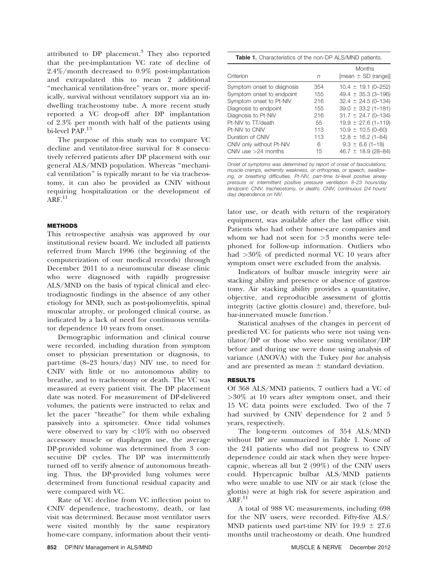attributed to DP placement.<sup>3</sup> They also reported that the pre-implantation VC rate of decline of 2.4%/month decreased to 0.9% post-implantation and extrapolated this to mean 2 additional "mechanical ventilation-free" years or, more specifically, survival without ventilatory support via an indwelling tracheostomy tube. A more recent study reported a VC drop-off after DP implantation of 2.3% per month with half of the patients using bi-level PAP.<sup>13</sup>

The purpose of this study was to compare VC decline and ventilator-free survival for 8 consecutively referred patients after DP placement with our general ALS/MND population. Whereas "mechanical ventilation'' is typically meant to be via tracheostomy, it can also be provided as CNIV without requiring hospitalization or the development of  $ARF<sup>11</sup>$ 

## **METHODS**

This retrospective analysis was approved by our institutional review board. We included all patients referred from March 1996 (the beginning of the computerization of our medical records) through December 2011 to a neuromuscular disease clinic who were diagnosed with rapidly progressive ALS/MND on the basis of typical clinical and electrodiagnostic findings in the absence of any other etiology for MND, such as post-poliomyelitis, spinal muscular atrophy, or prolonged clinical course, as indicated by a lack of need for continuous ventilator dependence 10 years from onset.

Demographic information and clinical course were recorded, including duration from symptom onset to physician presentation or diagnosis, to part-time (8–23 hours/day) NIV use, to need for CNIV with little or no autonomous ability to breathe, and to tracheotomy or death. The VC was measured at every patient visit. The DP placement date was noted. For measurement of DP-delivered volumes, the patients were instructed to relax and let the pacer ''breathe'' for them while exhaling passively into a spirometer. Once tidal volumes were observed to vary by  $\langle 10\%$  with no observed accessory muscle or diaphragm use, the average DP-provided volume was determined from 3 consecutive DP cycles. The DP was intermittently turned off to verify absence of autonomous breathing. Thus, the DP-provided lung volumes were determined from functional residual capacity and were compared with VC.

Rate of VC decline from VC inflection point to CNIV dependence, tracheostomy, death, or last visit was determined. Because most ventilator users were visited monthly by the same respiratory home-care company, information about their venti-

| <b>Table 1.</b> Characteristics of the non-DP ALS/MND patients. |  |  |
|-----------------------------------------------------------------|--|--|
|                                                                 |  |  |

| Criterion                  | n   | <b>Months</b><br>$[mean \pm SD (range)]$ |
|----------------------------|-----|------------------------------------------|
| Symptom onset to diagnosis | 354 | $10.4 \pm 19.1$ (0-252)                  |
| Symptom onset to endpoint  | 155 | 49.4 $\pm$ 35.3 (3-196)                  |
| Symptom onset to Pt-NIV    | 216 | $32.4 \pm 24.5$ (0-134)                  |
| Diagnosis to endpoint      | 155 | $39.0 \pm 33.2$ (1-181)                  |
| Diagnosis to Pt-NIV        | 216 | $31.7 \pm 24.7$ (0-134)                  |
| Pt-NIV to TT/death         | 55  | $19.9 \pm 27.6$ (1-119)                  |
| Pt-NIV to CNIV             | 113 | $10.9 \pm 10.5$ (0-60)                   |
| Duration of CNIV           | 113 | $12.8 \pm 16.2$ (1-84)                   |
| CNIV only without Pt-NIV   | 6   | $9.3 \pm 6.6$ (1-18)                     |
| CNIV use $>24$ months      | 15  | 46.7 $\pm$ 18.9 (28-84)                  |

Onset of symptoms was determined by report of onset of fasciculations, muscle cramps, extremity weakness, or orthopnea, or speech, swallowing, or breathing difficulties. Pt-NIV, part-time bi-level positive airway pressure or intermittent positive pressure ventilation 8–23 hours/day (endpoint: CNIV, tracheostomy, or death). CNIV, continuous (24 hours/ day) dependence on NIV.

lator use, or death with return of the respiratory equipment, was available after the last office visit. Patients who had other home-care companies and whom we had not seen for >3 months were telephoned for follow-up information. Outliers who had >30% of predicted normal VC 10 years after symptom onset were excluded from the analysis.

Indicators of bulbar muscle integrity were air stacking ability and presence or absence of gastrostomy. Air stacking ability provides a quantitative, objective, and reproducible assessment of glottis integrity (active glottis closure) and, therefore, bulbar-innervated muscle function.<sup>7</sup>

Statistical analyses of the changes in percent of predicted VC for patients who were not using ventilator/DP or those who were using ventilator/DP before and during use were done using analysis of variance (ANOVA) with the Tukey post hoc analysis and are presented as mean  $\pm$  standard deviation.

## RESULTS

Of 368 ALS/MND patients, 7 outliers had a VC of >30% at 10 years after symptom onset, and their 15 VC data points were excluded. Two of the 7 had survived by CNIV dependence for 2 and 5 years, respectively.

The long-term outcomes of 354 ALS/MND without DP are summarized in Table 1. None of the 241 patients who did not progress to CNIV dependence could air stack when they were hypercapnic, whereas all but 2 (99%) of the CNIV users could. Hypercapnic bulbar ALS/MND patients who were unable to use NIV or air stack (close the glottis) were at high risk for severe aspiration and  $ARF<sup>11</sup>$ 

A total of 988 VC measurements, including 698 for the NIV users, were recorded. Fifty-five ALS/ MND patients used part-time NIV for  $19.9 \pm 27.6$ months until tracheostomy or death. One hundred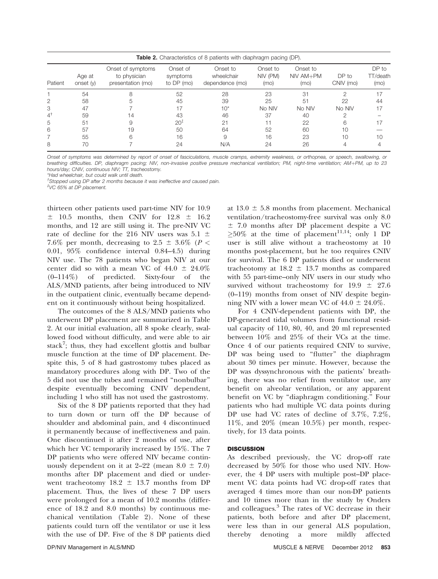| <b>Table 2.</b> Characteristics of 8 patients with diaphragm pacing (DP). |                     |                                                        |                                    |                                           |                              |                                 |                    |                           |  |  |  |
|---------------------------------------------------------------------------|---------------------|--------------------------------------------------------|------------------------------------|-------------------------------------------|------------------------------|---------------------------------|--------------------|---------------------------|--|--|--|
| Patient                                                                   | Age at<br>onset (y) | Onset of symptoms<br>to physician<br>presentation (mo) | Onset of<br>symptoms<br>to DP (mo) | Onset to<br>wheelchair<br>dependence (mo) | Onset to<br>NIV (PM)<br>(mo) | Onset to<br>$NIV AM+PM$<br>(mo) | DP to<br>CNIV (mo) | DP to<br>TT/death<br>(mo) |  |  |  |
|                                                                           | 54                  |                                                        | 52                                 | 28                                        | 23                           | 31                              | ⌒                  | 17                        |  |  |  |
| 2                                                                         | 58                  |                                                        | 45                                 | 39                                        | 25                           | 51                              | 22                 | 44                        |  |  |  |
| 3                                                                         | 47                  |                                                        |                                    | $10*$                                     | No NIV                       | No NIV                          | No NIV             | 17                        |  |  |  |
| $4^{\dagger}$                                                             | 59                  | 14                                                     | 43                                 | 46                                        | 37                           | 40                              |                    |                           |  |  |  |
| 5                                                                         | 51                  |                                                        | $20^{1}$                           | 21                                        |                              | 22                              | հ                  |                           |  |  |  |
| 6                                                                         | 57                  | 19                                                     | 50                                 | 64                                        | 52                           | 60                              | 10                 |                           |  |  |  |
|                                                                           | 55                  | հ                                                      | 16                                 | 9                                         | 16                           | 23                              | 10                 | 10                        |  |  |  |
| 8                                                                         | 70                  |                                                        | 24                                 | N/A                                       | 24                           | 26                              |                    |                           |  |  |  |

Onset of symptoms was determined by report of onset of fasciculations, muscle cramps, extremity weakness, or orthopnea, or speech, swallowing, or breathing difficulties. DP, diaphragm pacing; NIV, non-invasive positive pressure mechanical ventilation; PM, night-time ventilation; AM+PM, up to 23 hours/day; CNIV, continuous NIV; TT, tracheostomy.

\*Had wheelchair, but could walk until death.

† Stopped using DP after 2 months because it was ineffective and caused pain.

‡ VC 65% at DP placement.

thirteen other patients used part-time NIV for 10.9  $\pm$  10.5 months, then CNIV for 12.8  $\pm$  16.2 months, and 12 are still using it. The pre-NIV VC rate of decline for the 216 NIV users was 5.1  $\pm$ 7.6% per month, decreasing to 2.5  $\pm$  3.6% (P < 0.01, 95% confidence interval 0.84–4.5) during NIV use. The 78 patients who began NIV at our center did so with a mean VC of  $44.0 \pm 24.0\%$ (0–114%) of predicted. Sixty-four of the ALS/MND patients, after being introduced to NIV in the outpatient clinic, eventually became dependent on it continuously without being hospitalized.

The outcomes of the 8 ALS/MND patients who underwent DP placement are summarized in Table 2. At our initial evaluation, all 8 spoke clearly, swallowed food without difficulty, and were able to air stack<sup>7</sup>; thus, they had excellent glottis and bulbar muscle function at the time of DP placement. Despite this, 5 of 8 had gastrostomy tubes placed as mandatory procedures along with DP. Two of the 5 did not use the tubes and remained ''nonbulbar'' despite eventually becoming CNIV dependent, including 1 who still has not used the gastrostomy.

Six of the 8 DP patients reported that they had to turn down or turn off the DP because of shoulder and abdominal pain, and 4 discontinued it permanently because of ineffectiveness and pain. One discontinued it after 2 months of use, after which her VC temporarily increased by 15%. The 7 DP patients who were offered NIV became continuously dependent on it at 2–22 (mean  $8.0 \pm 7.0$ ) months after DP placement and died or underwent tracheotomy  $18.2 \pm 13.7$  months from DP placement. Thus, the lives of these 7 DP users were prolonged for a mean of 10.2 months (difference of 18.2 and 8.0 months) by continuous mechanical ventilation (Table 2). None of these patients could turn off the ventilator or use it less with the use of DP. Five of the 8 DP patients died at  $13.0 \pm 5.8$  months from placement. Mechanical ventilation/tracheostomy-free survival was only 8.0  $\pm$  7.0 months after DP placement despite a VC  $\geq 50\%$  at the time of placement<sup>11,14</sup>; only 1 DP user is still alive without a tracheostomy at 10 months post-placement, but he too requires CNIV for survival. The 6 DP patients died or underwent tracheotomy at  $18.2 \pm 13.7$  months as compared with 55 part-time–only NIV users in our study who survived without tracheostomy for  $19.9 \pm 27.6$ (0–119) months from onset of NIV despite beginning NIV with a lower mean VC of  $44.0 \pm 24.0\%$ .

For 4 CNIV-dependent patients with DP, the DP-generated tidal volumes from functional residual capacity of 110, 80, 40, and 20 ml represented between 10% and 25% of their VCs at the time. Once 4 of our patients required CNIV to survive, DP was being used to "flutter" the diaphragm about 30 times per minute. However, because the DP was dyssynchronous with the patients' breathing, there was no relief from ventilator use, any benefit on alveolar ventilation, or any apparent benefit on VC by ''diaphragm conditioning.'' Four patients who had multiple VC data points during DP use had VC rates of decline of 3.7%, 7.2%, 11%, and 20% (mean 10.5%) per month, respectively, for 13 data points.

#### **DISCUSSION**

As described previously, the VC drop-off rate decreased by 50% for those who used NIV. However, the 4 DP users with multiple post–DP placement VC data points had VC drop-off rates that averaged 4 times more than our non-DP patients and 10 times more than in the study by Onders and colleagues.<sup>3</sup> The rates of VC decrease in their patients, both before and after DP placement, were less than in our general ALS population, thereby denoting a more mildly affected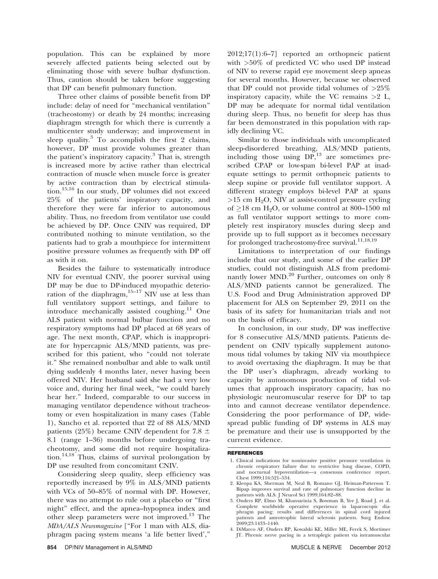population. This can be explained by more severely affected patients being selected out by eliminating those with severe bulbar dysfunction. Thus, caution should be taken before suggesting that DP can benefit pulmonary function.

Three other claims of possible benefit from DP include: delay of need for ''mechanical ventilation'' (tracheostomy) or death by 24 months; increasing diaphragm strength for which there is currently a multicenter study underway; and improvement in sleep quality. $3$  To accomplish the first 2 claims, however, DP must provide volumes greater than the patient's inspiratory capacity. $3$  That is, strength is increased more by active rather than electrical contraction of muscle when muscle force is greater by active contraction than by electrical stimulation.<sup>15,16</sup> In our study, DP volumes did not exceed 25% of the patients' inspiratory capacity, and therefore they were far inferior to autonomous ability. Thus, no freedom from ventilator use could be achieved by DP. Once CNIV was required, DP contributed nothing to minute ventilation, so the patients had to grab a mouthpiece for intermittent positive pressure volumes as frequently with DP off as with it on.

Besides the failure to systematically introduce NIV for eventual CNIV, the poorer survival using DP may be due to DP-induced myopathic deterioration of the diaphragm, $15-17$  NIV use at less than full ventilatory support settings, and failure to introduce mechanically assisted coughing. $11$  One ALS patient with normal bulbar function and no respiratory symptoms had DP placed at 68 years of age. The next month, CPAP, which is inappropriate for hypercapnic ALS/MND patients, was prescribed for this patient, who "could not tolerate it.'' She remained nonbulbar and able to walk until dying suddenly 4 months later, never having been offered NIV. Her husband said she had a very low voice and, during her final week, ''we could barely hear her.'' Indeed, comparable to our success in managing ventilator dependence without tracheostomy or even hospitalization in many cases (Table 1), Sancho et al. reported that 22 of 88 ALS/MND patients (25%) became CNIV dependent for 7.8  $\pm$ 8.1 (range 1–36) months before undergoing tracheotomy, and some did not require hospitaliza- $\text{tion.}^{14,18'}$  Thus, claims of survival prolongation by DP use resulted from concomitant CNIV.

Considering sleep quality, sleep efficiency was reportedly increased by 9% in ALS/MND patients with VCs of 50–85% of normal with DP. However, there was no attempt to rule out a placebo or ''first night'' effect, and the apnea–hypopnea index and other sleep parameters were not improved.<sup>13</sup> The MDA/ALS Newsmagazine [''For 1 man with ALS, diaphragm pacing system means 'a life better lived',''

2012;17(1):6–7] reported an orthopneic patient with >50% of predicted VC who used DP instead of NIV to reverse rapid eye movement sleep apneas for several months. However, because we observed that DP could not provide tidal volumes of  $>25\%$ inspiratory capacity, while the VC remains  $>2$  L, DP may be adequate for normal tidal ventilation during sleep. Thus, no benefit for sleep has thus far been demonstrated in this population with rapidly declining VC.

Similar to those individuals with uncomplicated sleep-disordered breathing, ALS/MND patients, including those using  $DP<sub>13</sub>$  are sometimes prescribed CPAP or low-span bi-level PAP at inadequate settings to permit orthopneic patients to sleep supine or provide full ventilator support. A different strategy employs bi-level PAP at spans  $>15$  cm H<sub>2</sub>O, NIV at assist-control pressure cycling of  $\geq$ 18 cm H<sub>2</sub>O, or volume control at 800–1500 ml as full ventilator support settings to more completely rest inspiratory muscles during sleep and provide up to full support as it becomes necessary for prolonged tracheostomy-free survival.<sup>11,18,19</sup>

Limitations to interpretation of our findings include that our study, and some of the earlier DP studies, could not distinguish ALS from predominantly lower MND.<sup>20</sup> Further, outcomes on only 8 ALS/MND patients cannot be generalized. The U.S. Food and Drug Administration approved DP placement for ALS on September 29, 2011 on the basis of its safety for humanitarian trials and not on the basis of efficacy.

In conclusion, in our study, DP was ineffective for 8 consecutive ALS/MND patients. Patients dependent on CNIV typically supplement autonomous tidal volumes by taking NIV via mouthpiece to avoid overtaxing the diaphragm. It may be that the DP user's diaphragm, already working to capacity by autonomous production of tidal volumes that approach inspiratory capacity, has no physiologic neuromuscular reserve for DP to tap into and cannot decrease ventilator dependence. Considering the poor performance of DP, widespread public funding of DP systems in ALS may be premature and their use is unsupported by the current evidence.

#### **REFERENCES**

- 1. Clinical indications for noninvasive positive pressure ventilation in chronic respiratory failure due to restrictive lung disease, COPD, and nocturnal hypoventilation—a consensus conference report. Chest 1999;116:521–534.
- 2. Kleopa KA, Sherman M, Neal B, Romano GJ, Heiman-Patterson T. Bipap improves survival and rate of pulmonary function decline in patients with ALS. J Neurol Sci 1999;164:82–88.
- 3. Onders RP, Elmo M, Khansarinia S, Bowman B, Yee J, Road J, et al. Complete worldwide operative experience in laparoscopic dia-phragm pacing: results and differences in spinal cord injured patients and amyotrophic lateral sclerosis patients. Surg Endosc 2009;23:1433–1440.
- 4. DiMarco AF, Onders RP, Kowalski KE, Miller ME, Ferek S, Mortimer JT. Phrenic nerve pacing in a tetraplegic patient via intramuscular